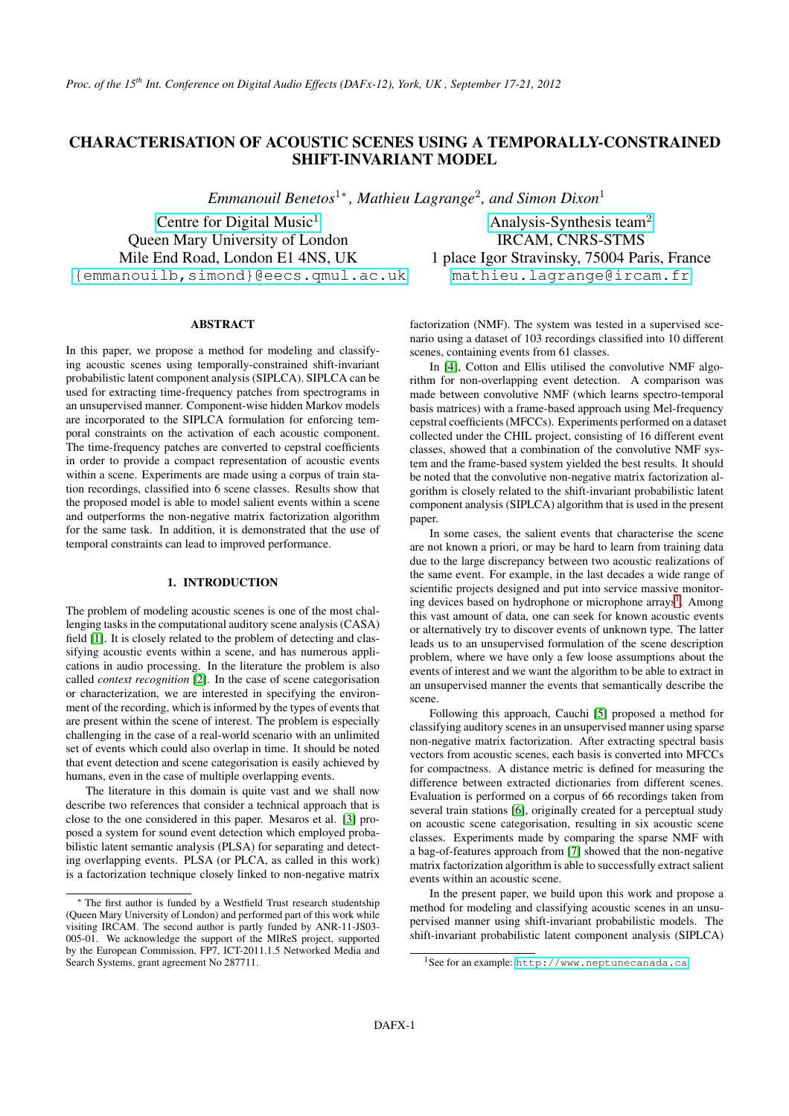# **CHARACTERISATION OF ACOUSTIC SCENES USING A TEMPORALLY-CONSTRAINED SHIFT-INVARIANT MODEL**

*Emmanouil Benetos*<sup>1</sup><sup>∗</sup> *, Mathieu Lagrange*<sup>2</sup> *, and Simon Dixon*<sup>1</sup>

[Centre for Digital Music](http://www.elec.qmul.ac.uk/digitalmusic/) $<sup>1</sup>$ </sup> Queen Mary University of London Mile End Road, London E1 4NS, UK [{emmanouilb,simond}@eecs.qmul.ac.uk](mailto:emmanouilb@eecs.qmul.ac.uk)

[Analysis-Synthesis team](http://www.ircam.fr/anasyn.html)<sup>2</sup> IRCAM, CNRS-STMS 1 place Igor Stravinsky, 75004 Paris, France [mathieu.lagrange@ircam.fr](mailto:mathieu.lagrange@ircam.fr)

## **ABSTRACT**

In this paper, we propose a method for modeling and classifying acoustic scenes using temporally-constrained shift-invariant probabilistic latent component analysis (SIPLCA). SIPLCA can be used for extracting time-frequency patches from spectrograms in an unsupervised manner. Component-wise hidden Markov models are incorporated to the SIPLCA formulation for enforcing temporal constraints on the activation of each acoustic component. The time-frequency patches are converted to cepstral coefficients in order to provide a compact representation of acoustic events within a scene. Experiments are made using a corpus of train station recordings, classified into 6 scene classes. Results show that the proposed model is able to model salient events within a scene and outperforms the non-negative matrix factorization algorithm for the same task. In addition, it is demonstrated that the use of temporal constraints can lead to improved performance.

## **1. INTRODUCTION**

The problem of modeling acoustic scenes is one of the most challenging tasks in the computational auditory scene analysis (CASA) field [\[1\]](#page-6-0). It is closely related to the problem of detecting and classifying acoustic events within a scene, and has numerous applications in audio processing. In the literature the problem is also called *context recognition* [\[2\]](#page-6-1). In the case of scene categorisation or characterization, we are interested in specifying the environment of the recording, which is informed by the types of events that are present within the scene of interest. The problem is especially challenging in the case of a real-world scenario with an unlimited set of events which could also overlap in time. It should be noted that event detection and scene categorisation is easily achieved by humans, even in the case of multiple overlapping events.

The literature in this domain is quite vast and we shall now describe two references that consider a technical approach that is close to the one considered in this paper. Mesaros et al. [\[3\]](#page-6-2) proposed a system for sound event detection which employed probabilistic latent semantic analysis (PLSA) for separating and detecting overlapping events. PLSA (or PLCA, as called in this work) is a factorization technique closely linked to non-negative matrix factorization (NMF). The system was tested in a supervised scenario using a dataset of 103 recordings classified into 10 different scenes, containing events from 61 classes.

In [\[4\]](#page-6-3), Cotton and Ellis utilised the convolutive NMF algorithm for non-overlapping event detection. A comparison was made between convolutive NMF (which learns spectro-temporal basis matrices) with a frame-based approach using Mel-frequency cepstral coefficients (MFCCs). Experiments performed on a dataset collected under the CHIL project, consisting of 16 different event classes, showed that a combination of the convolutive NMF system and the frame-based system yielded the best results. It should be noted that the convolutive non-negative matrix factorization algorithm is closely related to the shift-invariant probabilistic latent component analysis (SIPLCA) algorithm that is used in the present paper.

In some cases, the salient events that characterise the scene are not known a priori, or may be hard to learn from training data due to the large discrepancy between two acoustic realizations of the same event. For example, in the last decades a wide range of scientific projects designed and put into service massive monitor-ing devices based on hydrophone or microphone arrays<sup>[1](#page-0-0)</sup>. Among this vast amount of data, one can seek for known acoustic events or alternatively try to discover events of unknown type. The latter leads us to an unsupervised formulation of the scene description problem, where we have only a few loose assumptions about the events of interest and we want the algorithm to be able to extract in an unsupervised manner the events that semantically describe the scene.

Following this approach, Cauchi [\[5\]](#page-6-4) proposed a method for classifying auditory scenes in an unsupervised manner using sparse non-negative matrix factorization. After extracting spectral basis vectors from acoustic scenes, each basis is converted into MFCCs for compactness. A distance metric is defined for measuring the difference between extracted dictionaries from different scenes. Evaluation is performed on a corpus of 66 recordings taken from several train stations [\[6\]](#page-6-5), originally created for a perceptual study on acoustic scene categorisation, resulting in six acoustic scene classes. Experiments made by comparing the sparse NMF with a bag-of-features approach from [\[7\]](#page-6-6) showed that the non-negative matrix factorization algorithm is able to successfully extract salient events within an acoustic scene.

In the present paper, we build upon this work and propose a method for modeling and classifying acoustic scenes in an unsupervised manner using shift-invariant probabilistic models. The shift-invariant probabilistic latent component analysis (SIPLCA)

<sup>∗</sup> The first author is funded by a Westfield Trust research studentship (Queen Mary University of London) and performed part of this work while visiting IRCAM. The second author is partly funded by ANR-11-JS03- 005-01. We acknowledge the support of the MIReS project, supported by the European Commission, FP7, ICT-2011.1.5 Networked Media and Search Systems, grant agreement No 287711.

<span id="page-0-0"></span><sup>1</sup>See for an example: <http://www.neptunecanada.ca>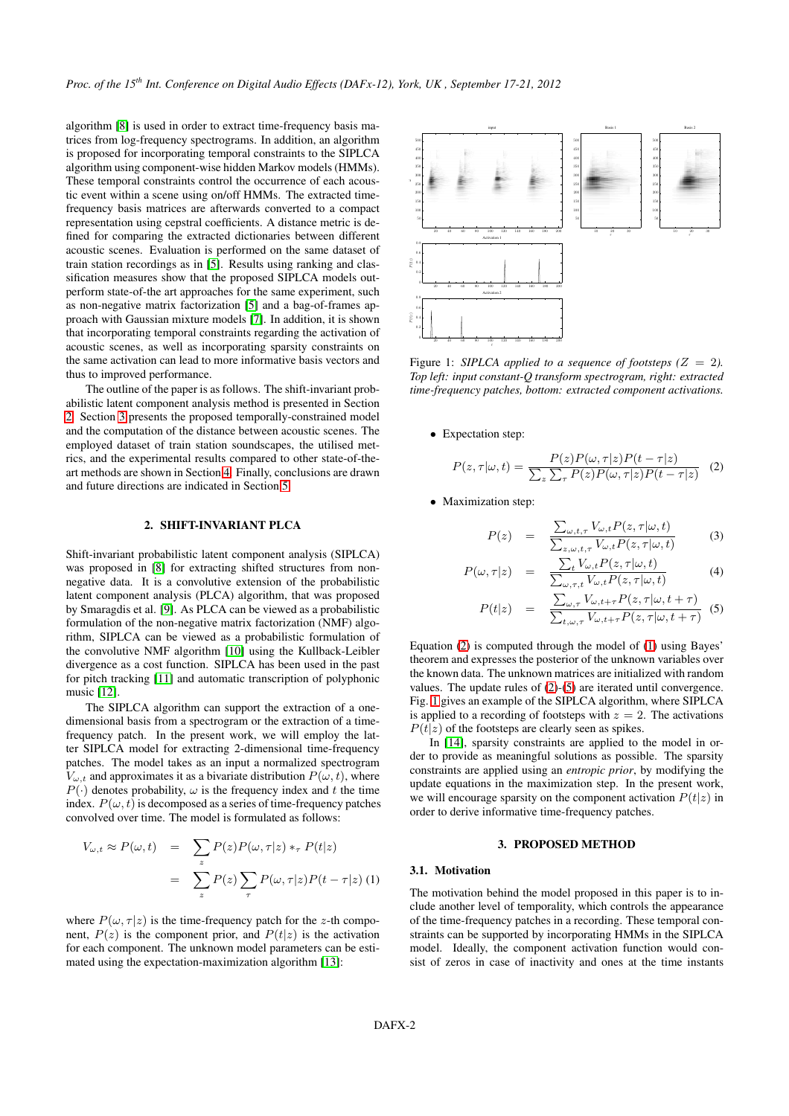algorithm [\[8\]](#page-6-7) is used in order to extract time-frequency basis matrices from log-frequency spectrograms. In addition, an algorithm is proposed for incorporating temporal constraints to the SIPLCA algorithm using component-wise hidden Markov models (HMMs). These temporal constraints control the occurrence of each acoustic event within a scene using on/off HMMs. The extracted timefrequency basis matrices are afterwards converted to a compact representation using cepstral coefficients. A distance metric is defined for comparing the extracted dictionaries between different acoustic scenes. Evaluation is performed on the same dataset of train station recordings as in [\[5\]](#page-6-4). Results using ranking and classification measures show that the proposed SIPLCA models outperform state-of-the art approaches for the same experiment, such as non-negative matrix factorization [\[5\]](#page-6-4) and a bag-of-frames approach with Gaussian mixture models [\[7\]](#page-6-6). In addition, it is shown that incorporating temporal constraints regarding the activation of acoustic scenes, as well as incorporating sparsity constraints on the same activation can lead to more informative basis vectors and thus to improved performance.

The outline of the paper is as follows. The shift-invariant probabilistic latent component analysis method is presented in Section [2.](#page-1-0) Section [3](#page-1-1) presents the proposed temporally-constrained model and the computation of the distance between acoustic scenes. The employed dataset of train station soundscapes, the utilised metrics, and the experimental results compared to other state-of-theart methods are shown in Section [4.](#page-4-0) Finally, conclusions are drawn and future directions are indicated in Section [5.](#page-5-0)

## **2. SHIFT-INVARIANT PLCA**

<span id="page-1-0"></span>Shift-invariant probabilistic latent component analysis (SIPLCA) was proposed in [\[8\]](#page-6-7) for extracting shifted structures from nonnegative data. It is a convolutive extension of the probabilistic latent component analysis (PLCA) algorithm, that was proposed by Smaragdis et al. [\[9\]](#page-6-8). As PLCA can be viewed as a probabilistic formulation of the non-negative matrix factorization (NMF) algorithm, SIPLCA can be viewed as a probabilistic formulation of the convolutive NMF algorithm [\[10\]](#page-6-9) using the Kullback-Leibler divergence as a cost function. SIPLCA has been used in the past for pitch tracking [\[11\]](#page-6-10) and automatic transcription of polyphonic music [\[12\]](#page-6-11).

The SIPLCA algorithm can support the extraction of a onedimensional basis from a spectrogram or the extraction of a timefrequency patch. In the present work, we will employ the latter SIPLCA model for extracting 2-dimensional time-frequency patches. The model takes as an input a normalized spectrogram  $V_{\omega,t}$  and approximates it as a bivariate distribution  $P(\omega, t)$ , where  $P(\cdot)$  denotes probability,  $\omega$  is the frequency index and t the time index.  $P(\omega, t)$  is decomposed as a series of time-frequency patches convolved over time. The model is formulated as follows:

<span id="page-1-3"></span>
$$
V_{\omega,t} \approx P(\omega, t) = \sum_{z} P(z) P(\omega, \tau | z) *_{\tau} P(t | z)
$$

$$
= \sum_{z} P(z) \sum_{\tau} P(\omega, \tau | z) P(t - \tau | z) (1)
$$

where  $P(\omega, \tau | z)$  is the time-frequency patch for the z-th component,  $P(z)$  is the component prior, and  $P(t|z)$  is the activation for each component. The unknown model parameters can be estimated using the expectation-maximization algorithm [\[13\]](#page-6-12):

<span id="page-1-5"></span>

Figure 1: *SIPLCA applied to a sequence of footsteps* ( $Z = 2$ ). *Top left: input constant-Q transform spectrogram, right: extracted time-frequency patches, bottom: extracted component activations.*

• Expectation step:

<span id="page-1-2"></span>
$$
P(z,\tau|\omega,t) = \frac{P(z)P(\omega,\tau|z)P(t-\tau|z)}{\sum_{z}\sum_{\tau}P(z)P(\omega,\tau|z)P(t-\tau|z)} \tag{2}
$$

• Maximization step:

<span id="page-1-4"></span>
$$
P(z) = \frac{\sum_{\omega, t, \tau} V_{\omega, t} P(z, \tau | \omega, t)}{\sum_{z, \omega, t, \tau} V_{\omega, t} P(z, \tau | \omega, t)}
$$
(3)

$$
P(\omega, \tau | z) = \frac{\sum_{t} V_{\omega, t} P(z, \tau | \omega, t)}{\sum_{\omega, \tau, t} V_{\omega, t} P(z, \tau | \omega, t)}
$$
(4)

$$
P(t|z) = \frac{\sum_{\omega,\tau} V_{\omega,t+\tau} P(z,\tau|\omega,t+\tau)}{\sum_{t,\omega,\tau} V_{\omega,t+\tau} P(z,\tau|\omega,t+\tau)}
$$
(5)

Equation [\(2\)](#page-1-2) is computed through the model of [\(1\)](#page-1-3) using Bayes' theorem and expresses the posterior of the unknown variables over the known data. The unknown matrices are initialized with random values. The update rules of [\(2\)](#page-1-2)-[\(5\)](#page-1-4) are iterated until convergence. Fig. [1](#page-1-5) gives an example of the SIPLCA algorithm, where SIPLCA is applied to a recording of footsteps with  $z = 2$ . The activations  $P(t|z)$  of the footsteps are clearly seen as spikes.

In [\[14\]](#page-6-13), sparsity constraints are applied to the model in order to provide as meaningful solutions as possible. The sparsity constraints are applied using an *entropic prior*, by modifying the update equations in the maximization step. In the present work, we will encourage sparsity on the component activation  $P(t|z)$  in order to derive informative time-frequency patches.

#### **3. PROPOSED METHOD**

## <span id="page-1-1"></span>**3.1. Motivation**

The motivation behind the model proposed in this paper is to include another level of temporality, which controls the appearance of the time-frequency patches in a recording. These temporal constraints can be supported by incorporating HMMs in the SIPLCA model. Ideally, the component activation function would consist of zeros in case of inactivity and ones at the time instants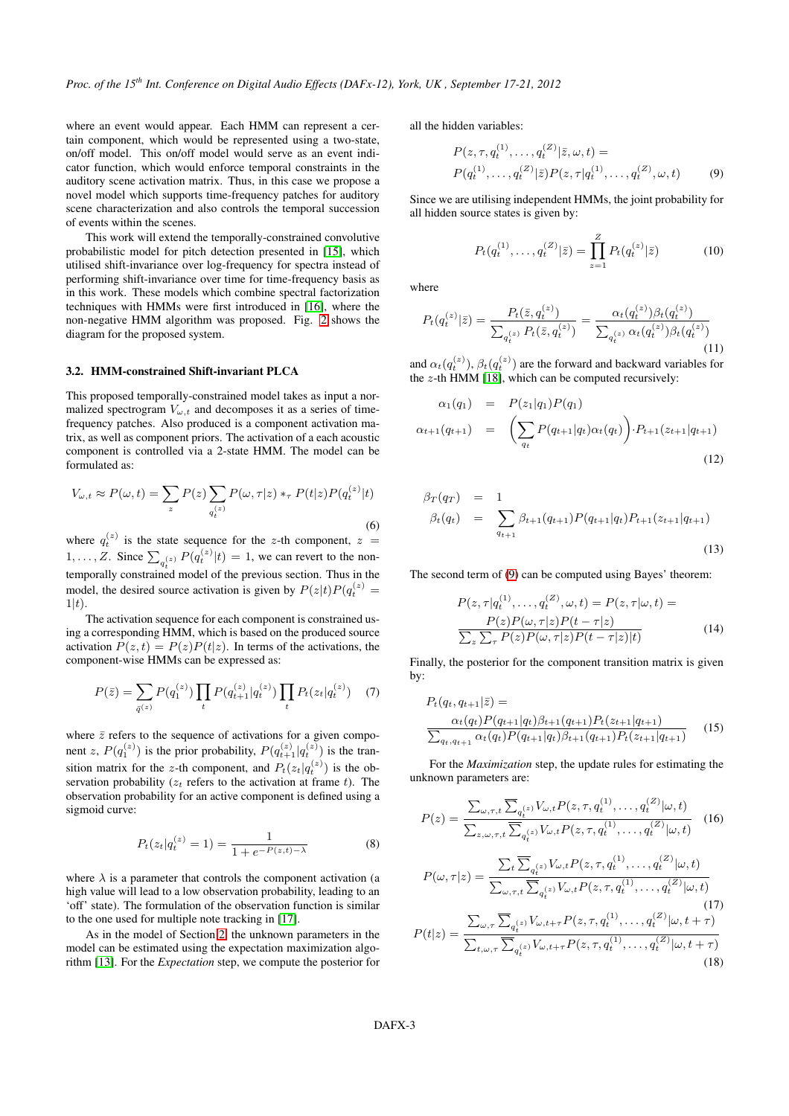where an event would appear. Each HMM can represent a certain component, which would be represented using a two-state, on/off model. This on/off model would serve as an event indicator function, which would enforce temporal constraints in the auditory scene activation matrix. Thus, in this case we propose a novel model which supports time-frequency patches for auditory scene characterization and also controls the temporal succession of events within the scenes.

This work will extend the temporally-constrained convolutive probabilistic model for pitch detection presented in [\[15\]](#page-6-14), which utilised shift-invariance over log-frequency for spectra instead of performing shift-invariance over time for time-frequency basis as in this work. These models which combine spectral factorization techniques with HMMs were first introduced in [\[16\]](#page-6-15), where the non-negative HMM algorithm was proposed. Fig. [2](#page-3-0) shows the diagram for the proposed system.

#### <span id="page-2-2"></span>**3.2. HMM-constrained Shift-invariant PLCA**

This proposed temporally-constrained model takes as input a normalized spectrogram  $V_{\omega,t}$  and decomposes it as a series of timefrequency patches. Also produced is a component activation matrix, as well as component priors. The activation of a each acoustic component is controlled via a 2-state HMM. The model can be formulated as:

$$
V_{\omega,t} \approx P(\omega,t) = \sum_{z} P(z) \sum_{q_t^{(z)}} P(\omega,\tau|z) *_{\tau} P(t|z) P(q_t^{(z)}|t)
$$
\n(6)

where  $q_t^{(z)}$  is the state sequence for the z-th component,  $z =$  $1, \ldots, Z$ . Since  $\sum_{q_t^{(z)}} P(q_t^{(z)} | t) = 1$ , we can revert to the nontemporally constrained model of the previous section. Thus in the model, the desired source activation is given by  $P(z|t)P(q_t^{(z)}) =$  $1|t)$ .

The activation sequence for each component is constrained using a corresponding HMM, which is based on the produced source activation  $P(z, t) = P(z)P(t|z)$ . In terms of the activations, the component-wise HMMs can be expressed as:

$$
P(\bar{z}) = \sum_{\bar{q}^{(z)}} P(q_1^{(z)}) \prod_t P(q_{t+1}^{(z)} | q_t^{(z)}) \prod_t P_t(z_t | q_t^{(z)}) \quad (7)
$$

where  $\bar{z}$  refers to the sequence of activations for a given component z,  $P(q_1^{(z)})$  is the prior probability,  $P(q_{t+1}^{(z)} | q_t^{(z)})$  is the transition matrix for the z-th component, and  $P_t(z_t|q_t^{(z)})$  is the observation probability ( $z_t$  refers to the activation at frame t). The observation probability for an active component is defined using a sigmoid curve:

$$
P_t(z_t|q_t^{(z)} = 1) = \frac{1}{1 + e^{-P(z,t) - \lambda}}
$$
(8)

where  $\lambda$  is a parameter that controls the component activation (a high value will lead to a low observation probability, leading to an 'off' state). The formulation of the observation function is similar to the one used for multiple note tracking in [\[17\]](#page-6-16).

As in the model of Section [2,](#page-1-0) the unknown parameters in the model can be estimated using the expectation maximization algorithm [\[13\]](#page-6-12). For the *Expectation* step, we compute the posterior for all the hidden variables:

$$
P(z, \tau, q_t^{(1)}, \dots, q_t^{(Z)} | \bar{z}, \omega, t) =
$$
  
\n
$$
P(q_t^{(1)}, \dots, q_t^{(Z)} | \bar{z}) P(z, \tau | q_t^{(1)}, \dots, q_t^{(Z)}, \omega, t)
$$
 (9)

Since we are utilising independent HMMs, the joint probability for all hidden source states is given by:

<span id="page-2-0"></span>
$$
P_t(q_t^{(1)}, \dots, q_t^{(Z)} | \bar{z}) = \prod_{z=1}^{Z} P_t(q_t^{(z)} | \bar{z})
$$
 (10)

where

<span id="page-2-1"></span>
$$
P_t(q_t^{(z)}|\bar{z}) = \frac{P_t(\bar{z}, q_t^{(z)})}{\sum_{q_t^{(z)}} P_t(\bar{z}, q_t^{(z)})} = \frac{\alpha_t(q_t^{(z)})\beta_t(q_t^{(z)})}{\sum_{q_t^{(z)}} \alpha_t(q_t^{(z)})\beta_t(q_t^{(z)})}
$$
(11)

and  $\alpha_t(q_t^{(z)}), \beta_t(q_t^{(z)})$  are the forward and backward variables for the  $z$ -th HMM [\[18\]](#page-6-17), which can be computed recursively:

$$
\alpha_1(q_1) = P(z_1|q_1)P(q_1) \n\alpha_{t+1}(q_{t+1}) = \left(\sum_{q_t} P(q_{t+1}|q_t)\alpha_t(q_t)\right) \cdot P_{t+1}(z_{t+1}|q_{t+1})
$$
\n(12)

$$
\beta_T(q_T) = 1 \n\beta_t(q_t) = \sum_{q_{t+1}} \beta_{t+1}(q_{t+1}) P(q_{t+1}|q_t) P_{t+1}(z_{t+1}|q_{t+1})
$$
\n(13)

The second term of [\(9\)](#page-2-0) can be computed using Bayes' theorem:

$$
P(z, \tau | q_t^{(1)}, \dots, q_t^{(Z)}, \omega, t) = P(z, \tau | \omega, t) =
$$
  
\n
$$
\frac{P(z)P(\omega, \tau | z)P(t - \tau | z)}{\sum_z \sum_{\tau} P(z)P(\omega, \tau | z)P(t - \tau | z) | t)}
$$
(14)

Finally, the posterior for the component transition matrix is given by:

$$
P_t(q_t, q_{t+1}|\bar{z}) =
$$
  
\n
$$
\frac{\alpha_t(q_t)P(q_{t+1}|q_t)\beta_{t+1}(q_{t+1})P_t(z_{t+1}|q_{t+1})}{\sum_{q_t, q_{t+1}} \alpha_t(q_t)P(q_{t+1}|q_t)\beta_{t+1}(q_{t+1})P_t(z_{t+1}|q_{t+1})}
$$
 (15)

For the *Maximization* step, the update rules for estimating the unknown parameters are:

$$
P(z) = \frac{\sum_{\omega,\tau,t} \overline{\sum}_{q_t^{(z)}} V_{\omega,t} P(z,\tau,q_t^{(1)},\ldots,q_t^{(Z)}|\omega,t)}{\sum_{z,\omega,\tau,t} \overline{\sum}_{q_t^{(z)}} V_{\omega,t} P(z,\tau,q_t^{(1)},\ldots,q_t^{(Z)}|\omega,t)} \quad (16)
$$

$$
P(\omega, \tau|z) = \frac{\sum_{t} \overline{\sum}_{q_{t}^{(z)}} V_{\omega, t} P(z, \tau, q_{t}^{(1)}, \dots, q_{t}^{(Z)}|\omega, t)}{\sum_{\omega, \tau, t} \overline{\sum}_{q_{t}^{(z)}} V_{\omega, t} P(z, \tau, q_{t}^{(1)}, \dots, q_{t}^{(Z)}|\omega, t)}
$$
(17)  

$$
P(t|z) = \frac{\sum_{\omega, \tau} \overline{\sum}_{q_{t}^{(z)}} V_{\omega, t+\tau} P(z, \tau, q_{t}^{(1)}, \dots, q_{t}^{(Z)}|\omega, t+\tau)}{\sum_{t, \omega, \tau} \overline{\sum}_{q_{t}^{(z)}} V_{\omega, t+\tau} P(z, \tau, q_{t}^{(1)}, \dots, q_{t}^{(Z)}|\omega, t+\tau)}
$$
(18)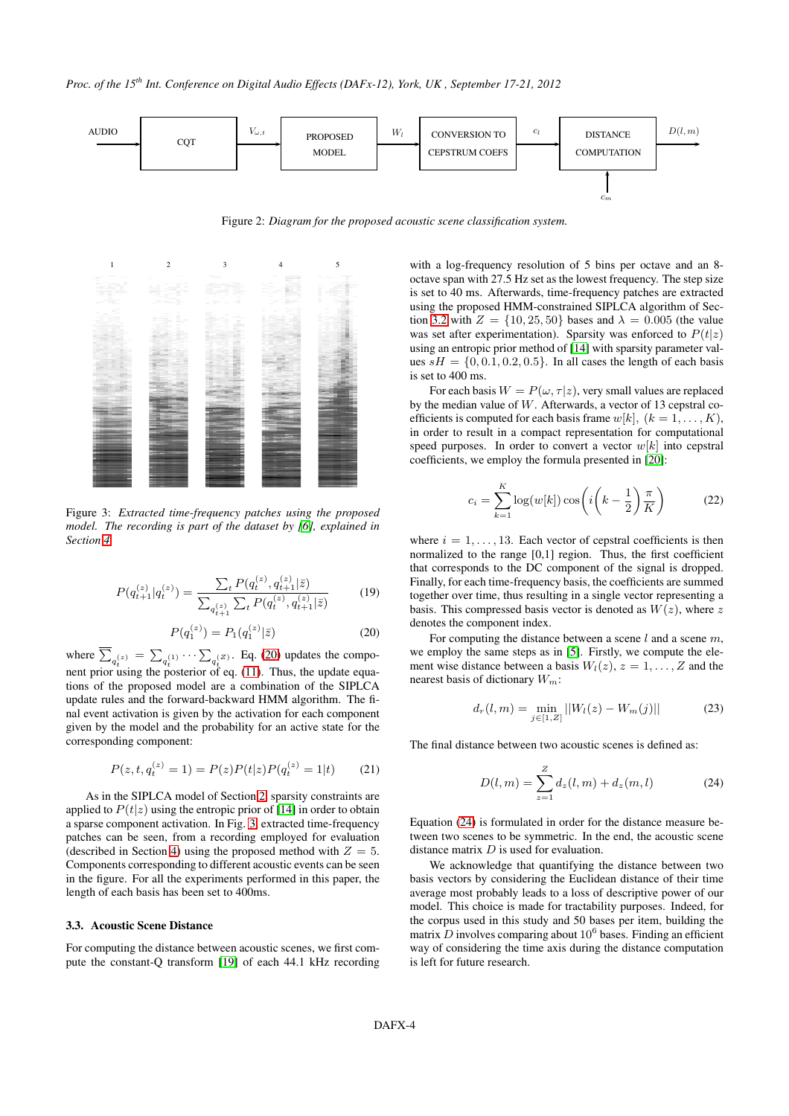

<span id="page-3-0"></span>Figure 2: *Diagram for the proposed acoustic scene classification system.*

<span id="page-3-2"></span>

Figure 3: *Extracted time-frequency patches using the proposed model. The recording is part of the dataset by [\[6\]](#page-6-5), explained in Section [4.](#page-4-0)*

$$
P(q_{t+1}^{(z)}|q_t^{(z)}) = \frac{\sum_t P(q_t^{(z)}, q_{t+1}^{(z)}|\bar{z})}{\sum_{q_{t+1}^{(z)}} \sum_t P(q_t^{(z)}, q_{t+1}^{(z)}|\bar{z})}
$$
(19)

<span id="page-3-1"></span>
$$
P(q_1^{(z)}) = P_1(q_1^{(z)}|\bar{z})
$$
\n(20)

where  $\sum_{q_i^{(z)}} = \sum_{q_i^{(1)}} \cdots \sum_{q_i^{(Z)}}$ . Eq. [\(20\)](#page-3-1) updates the compothe true  $\begin{pmatrix} a_i & a_{i'} & a_i \\ a_i & a_{i'} & a_i \end{pmatrix}$  is the update equantions of the proposed model are a combination of the SIPLCA update rules and the forward-backward HMM algorithm. The final event activation is given by the activation for each component given by the model and the probability for an active state for the corresponding component:

$$
P(z, t, q_t^{(z)} = 1) = P(z)P(t|z)P(q_t^{(z)} = 1|t)
$$
 (21)

As in the SIPLCA model of Section [2,](#page-1-0) sparsity constraints are applied to  $P(t|z)$  using the entropic prior of [\[14\]](#page-6-13) in order to obtain a sparse component activation. In Fig. [3,](#page-3-2) extracted time-frequency patches can be seen, from a recording employed for evaluation (described in Section [4\)](#page-4-0) using the proposed method with  $Z = 5$ . Components corresponding to different acoustic events can be seen in the figure. For all the experiments performed in this paper, the length of each basis has been set to 400ms.

#### <span id="page-3-4"></span>**3.3. Acoustic Scene Distance**

For computing the distance between acoustic scenes, we first compute the constant-Q transform [\[19\]](#page-6-18) of each 44.1 kHz recording with a log-frequency resolution of 5 bins per octave and an 8 octave span with 27.5 Hz set as the lowest frequency. The step size is set to 40 ms. Afterwards, time-frequency patches are extracted using the proposed HMM-constrained SIPLCA algorithm of Sec-tion [3.2](#page-2-2) with  $Z = \{10, 25, 50\}$  bases and  $\lambda = 0.005$  (the value was set after experimentation). Sparsity was enforced to  $P(t|z)$ using an entropic prior method of [\[14\]](#page-6-13) with sparsity parameter values  $sH = \{0, 0.1, 0.2, 0.5\}$ . In all cases the length of each basis is set to 400 ms.

For each basis  $W = P(\omega, \tau | z)$ , very small values are replaced by the median value of  $W$ . Afterwards, a vector of 13 cepstral coefficients is computed for each basis frame  $w[k]$ ,  $(k = 1, \ldots, K)$ , in order to result in a compact representation for computational speed purposes. In order to convert a vector  $w[k]$  into cepstral coefficients, we employ the formula presented in [\[20\]](#page-6-19):

$$
c_i = \sum_{k=1}^{K} \log(w[k]) \cos\left(i\left(k - \frac{1}{2}\right)\frac{\pi}{K}\right) \tag{22}
$$

where  $i = 1, \ldots, 13$ . Each vector of cepstral coefficients is then normalized to the range [0,1] region. Thus, the first coefficient that corresponds to the DC component of the signal is dropped. Finally, for each time-frequency basis, the coefficients are summed together over time, thus resulting in a single vector representing a basis. This compressed basis vector is denoted as  $W(z)$ , where z denotes the component index.

For computing the distance between a scene  $l$  and a scene  $m$ , we employ the same steps as in [\[5\]](#page-6-4). Firstly, we compute the element wise distance between a basis  $W_l(z)$ ,  $z = 1, \ldots, Z$  and the nearest basis of dictionary  $W_m$ :

$$
d_r(l,m) = \min_{j \in [1,Z]} ||W_l(z) - W_m(j)|| \tag{23}
$$

The final distance between two acoustic scenes is defined as:

<span id="page-3-3"></span>
$$
D(l,m) = \sum_{z=1}^{Z} d_z(l,m) + d_z(m,l)
$$
 (24)

Equation [\(24\)](#page-3-3) is formulated in order for the distance measure between two scenes to be symmetric. In the end, the acoustic scene distance matrix D is used for evaluation.

We acknowledge that quantifying the distance between two basis vectors by considering the Euclidean distance of their time average most probably leads to a loss of descriptive power of our model. This choice is made for tractability purposes. Indeed, for the corpus used in this study and 50 bases per item, building the matrix  $D$  involves comparing about  $10^6$  bases. Finding an efficient way of considering the time axis during the distance computation is left for future research.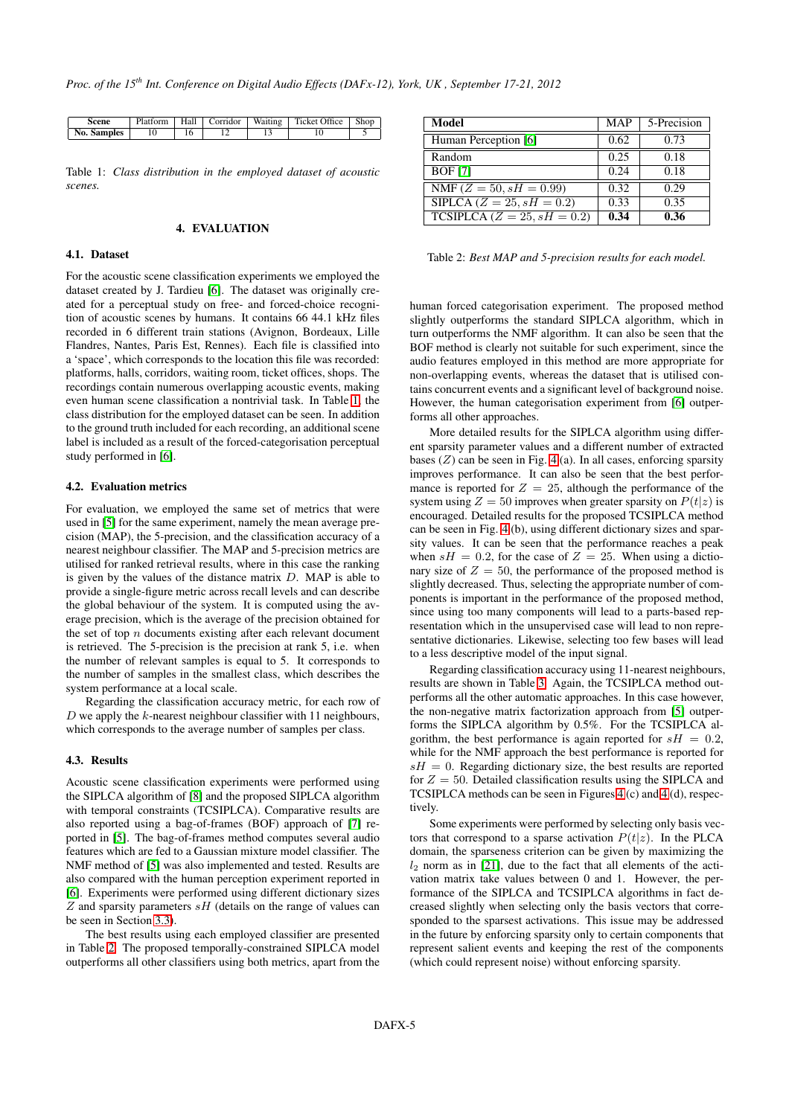<span id="page-4-1"></span>

| Scene       |  |  | Platform   Hall   Corridor   Waiting   Ticket Office   Shop |  |
|-------------|--|--|-------------------------------------------------------------|--|
| No. Samples |  |  |                                                             |  |

Table 1: *Class distribution in the employed dataset of acoustic scenes.*

## **4. EVALUATION**

# <span id="page-4-0"></span>**4.1. Dataset**

For the acoustic scene classification experiments we employed the dataset created by J. Tardieu [\[6\]](#page-6-5). The dataset was originally created for a perceptual study on free- and forced-choice recognition of acoustic scenes by humans. It contains 66 44.1 kHz files recorded in 6 different train stations (Avignon, Bordeaux, Lille Flandres, Nantes, Paris Est, Rennes). Each file is classified into a 'space', which corresponds to the location this file was recorded: platforms, halls, corridors, waiting room, ticket offices, shops. The recordings contain numerous overlapping acoustic events, making even human scene classification a nontrivial task. In Table [1,](#page-4-1) the class distribution for the employed dataset can be seen. In addition to the ground truth included for each recording, an additional scene label is included as a result of the forced-categorisation perceptual study performed in [\[6\]](#page-6-5).

## **4.2. Evaluation metrics**

For evaluation, we employed the same set of metrics that were used in [\[5\]](#page-6-4) for the same experiment, namely the mean average precision (MAP), the 5-precision, and the classification accuracy of a nearest neighbour classifier. The MAP and 5-precision metrics are utilised for ranked retrieval results, where in this case the ranking is given by the values of the distance matrix  $D$ . MAP is able to provide a single-figure metric across recall levels and can describe the global behaviour of the system. It is computed using the average precision, which is the average of the precision obtained for the set of top  $n$  documents existing after each relevant document is retrieved. The 5-precision is the precision at rank 5, i.e. when the number of relevant samples is equal to 5. It corresponds to the number of samples in the smallest class, which describes the system performance at a local scale.

Regarding the classification accuracy metric, for each row of  $D$  we apply the  $k$ -nearest neighbour classifier with 11 neighbours, which corresponds to the average number of samples per class.

## **4.3. Results**

Acoustic scene classification experiments were performed using the SIPLCA algorithm of [\[8\]](#page-6-7) and the proposed SIPLCA algorithm with temporal constraints (TCSIPLCA). Comparative results are also reported using a bag-of-frames (BOF) approach of [\[7\]](#page-6-6) reported in [\[5\]](#page-6-4). The bag-of-frames method computes several audio features which are fed to a Gaussian mixture model classifier. The NMF method of [\[5\]](#page-6-4) was also implemented and tested. Results are also compared with the human perception experiment reported in [\[6\]](#page-6-5). Experiments were performed using different dictionary sizes  $Z$  and sparsity parameters  $sH$  (details on the range of values can be seen in Section [3.3\)](#page-3-4).

The best results using each employed classifier are presented in Table [2.](#page-4-2) The proposed temporally-constrained SIPLCA model outperforms all other classifiers using both metrics, apart from the

<span id="page-4-2"></span>

| Model                          | <b>MAP</b> | 5-Precision |
|--------------------------------|------------|-------------|
| Human Perception [6]           | 0.62       | 0.73        |
| Random                         | 0.25       | 0.18        |
| <b>BOF</b> [7]                 | 0.24       | 0.18        |
| NMF ( $Z = 50$ , $sH = 0.99$ ) | 0.32       | 0.29        |
| SIPLCA ( $Z = 25, sH = 0.2$ )  | 0.33       | 0.35        |
| $TCSIPLCA (Z = 25, sH = 0.2)$  | 0.34       | 0.36        |

Table 2: *Best MAP and 5-precision results for each model.*

human forced categorisation experiment. The proposed method slightly outperforms the standard SIPLCA algorithm, which in turn outperforms the NMF algorithm. It can also be seen that the BOF method is clearly not suitable for such experiment, since the audio features employed in this method are more appropriate for non-overlapping events, whereas the dataset that is utilised contains concurrent events and a significant level of background noise. However, the human categorisation experiment from [\[6\]](#page-6-5) outperforms all other approaches.

More detailed results for the SIPLCA algorithm using different sparsity parameter values and a different number of extracted bases  $(Z)$  can be seen in Fig. [4](#page-5-1) (a). In all cases, enforcing sparsity improves performance. It can also be seen that the best performance is reported for  $Z = 25$ , although the performance of the system using  $Z = 50$  improves when greater sparsity on  $P(t|z)$  is encouraged. Detailed results for the proposed TCSIPLCA method can be seen in Fig. [4](#page-5-1) (b), using different dictionary sizes and sparsity values. It can be seen that the performance reaches a peak when  $sH = 0.2$ , for the case of  $Z = 25$ . When using a dictionary size of  $Z = 50$ , the performance of the proposed method is slightly decreased. Thus, selecting the appropriate number of components is important in the performance of the proposed method, since using too many components will lead to a parts-based representation which in the unsupervised case will lead to non representative dictionaries. Likewise, selecting too few bases will lead to a less descriptive model of the input signal.

Regarding classification accuracy using 11-nearest neighbours, results are shown in Table [3.](#page-5-2) Again, the TCSIPLCA method outperforms all the other automatic approaches. In this case however, the non-negative matrix factorization approach from [\[5\]](#page-6-4) outperforms the SIPLCA algorithm by 0.5%. For the TCSIPLCA algorithm, the best performance is again reported for  $sH = 0.2$ , while for the NMF approach the best performance is reported for  $sH = 0$ . Regarding dictionary size, the best results are reported for  $Z = 50$ . Detailed classification results using the SIPLCA and TCSIPLCA methods can be seen in Figures [4](#page-5-1) (c) and [4](#page-5-1) (d), respectively.

Some experiments were performed by selecting only basis vectors that correspond to a sparse activation  $P(t|z)$ . In the PLCA domain, the sparseness criterion can be given by maximizing the  $l_2$  norm as in [\[21\]](#page-6-20), due to the fact that all elements of the activation matrix take values between 0 and 1. However, the performance of the SIPLCA and TCSIPLCA algorithms in fact decreased slightly when selecting only the basis vectors that corresponded to the sparsest activations. This issue may be addressed in the future by enforcing sparsity only to certain components that represent salient events and keeping the rest of the components (which could represent noise) without enforcing sparsity.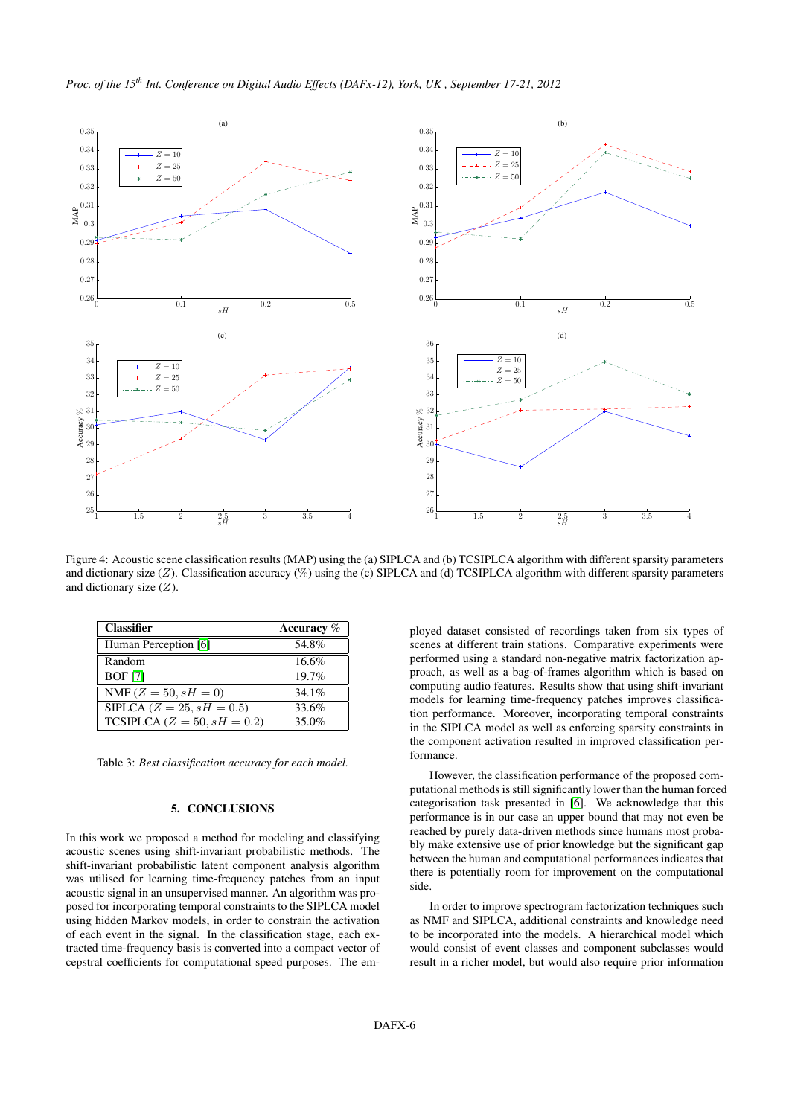

<span id="page-5-1"></span>Figure 4: Acoustic scene classification results (MAP) using the (a) SIPLCA and (b) TCSIPLCA algorithm with different sparsity parameters and dictionary size  $(Z)$ . Classification accuracy  $(\%)$  using the (c) SIPLCA and (d) TCSIPLCA algorithm with different sparsity parameters and dictionary size  $(Z)$ .

<span id="page-5-2"></span>

| <b>Classifier</b>                               | Accuracy $%$ |
|-------------------------------------------------|--------------|
| Human Perception [6]                            | 54.8%        |
| Random                                          | 16.6%        |
| <b>BOF</b> [7]                                  | 19.7%        |
| $\overline{\text{NMF}}$ ( $Z = 50$ , $sH = 0$ ) | 34.1%        |
| SIPLCA ( $Z = 25$ , $sH = 0.5$ )                | 33.6%        |
| TCSIPLCA ( $Z = 50$ , $sH = 0.2$ )              | 35.0%        |

Table 3: *Best classification accuracy for each model.*

## **5. CONCLUSIONS**

<span id="page-5-0"></span>In this work we proposed a method for modeling and classifying acoustic scenes using shift-invariant probabilistic methods. The shift-invariant probabilistic latent component analysis algorithm was utilised for learning time-frequency patches from an input acoustic signal in an unsupervised manner. An algorithm was proposed for incorporating temporal constraints to the SIPLCA model using hidden Markov models, in order to constrain the activation of each event in the signal. In the classification stage, each extracted time-frequency basis is converted into a compact vector of cepstral coefficients for computational speed purposes. The em-

ployed dataset consisted of recordings taken from six types of scenes at different train stations. Comparative experiments were performed using a standard non-negative matrix factorization approach, as well as a bag-of-frames algorithm which is based on computing audio features. Results show that using shift-invariant models for learning time-frequency patches improves classification performance. Moreover, incorporating temporal constraints in the SIPLCA model as well as enforcing sparsity constraints in the component activation resulted in improved classification performance.

However, the classification performance of the proposed computational methods is still significantly lower than the human forced categorisation task presented in [\[6\]](#page-6-5). We acknowledge that this performance is in our case an upper bound that may not even be reached by purely data-driven methods since humans most probably make extensive use of prior knowledge but the significant gap between the human and computational performances indicates that there is potentially room for improvement on the computational side.

In order to improve spectrogram factorization techniques such as NMF and SIPLCA, additional constraints and knowledge need to be incorporated into the models. A hierarchical model which would consist of event classes and component subclasses would result in a richer model, but would also require prior information